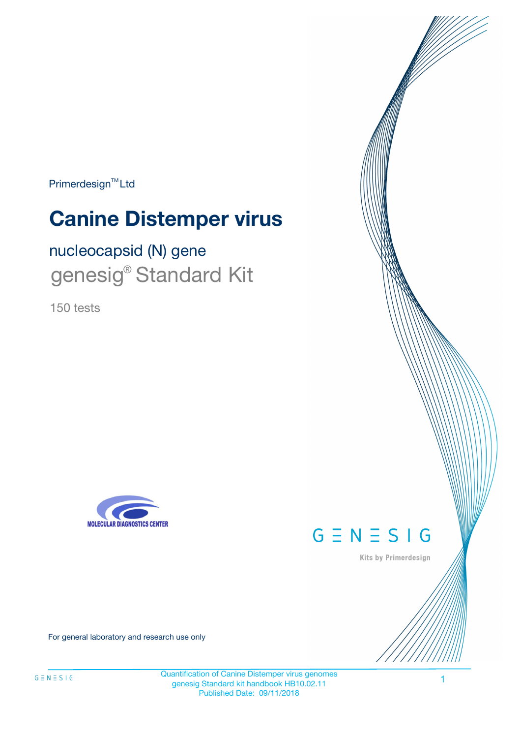Primerdesign<sup>™</sup>Ltd

# **Canine Distemper virus**

nucleocapsid (N) gene genesig<sup>®</sup> Standard Kit

150 tests





Kits by Primerdesign

For general laboratory and research use only

Quantification of Canine Distemper virus genomes genesig Standard kit handbook HB10.02.11 Published Date: 09/11/2018

1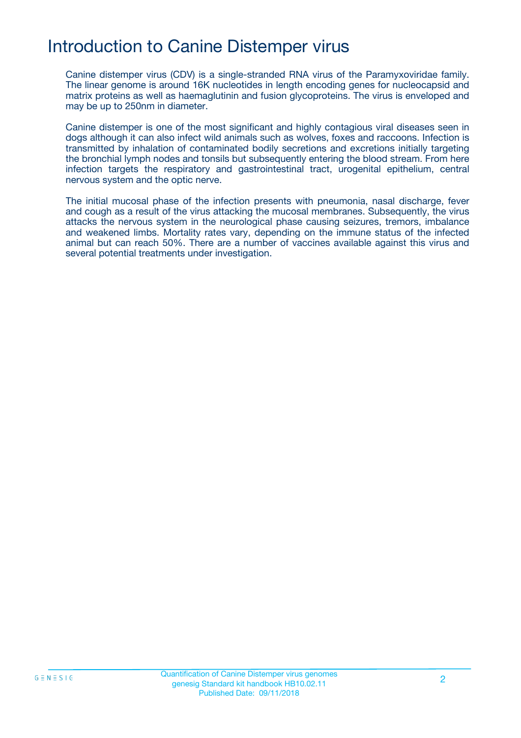# Introduction to Canine Distemper virus

Canine distemper virus (CDV) is a single-stranded RNA virus of the Paramyxoviridae family. The linear genome is around 16K nucleotides in length encoding genes for nucleocapsid and matrix proteins as well as haemaglutinin and fusion glycoproteins. The virus is enveloped and may be up to 250nm in diameter.

Canine distemper is one of the most significant and highly contagious viral diseases seen in dogs although it can also infect wild animals such as wolves, foxes and raccoons. Infection is transmitted by inhalation of contaminated bodily secretions and excretions initially targeting the bronchial lymph nodes and tonsils but subsequently entering the blood stream. From here infection targets the respiratory and gastrointestinal tract, urogenital epithelium, central nervous system and the optic nerve.

The initial mucosal phase of the infection presents with pneumonia, nasal discharge, fever and cough as a result of the virus attacking the mucosal membranes. Subsequently, the virus attacks the nervous system in the neurological phase causing seizures, tremors, imbalance and weakened limbs. Mortality rates vary, depending on the immune status of the infected animal but can reach 50%. There are a number of vaccines available against this virus and several potential treatments under investigation.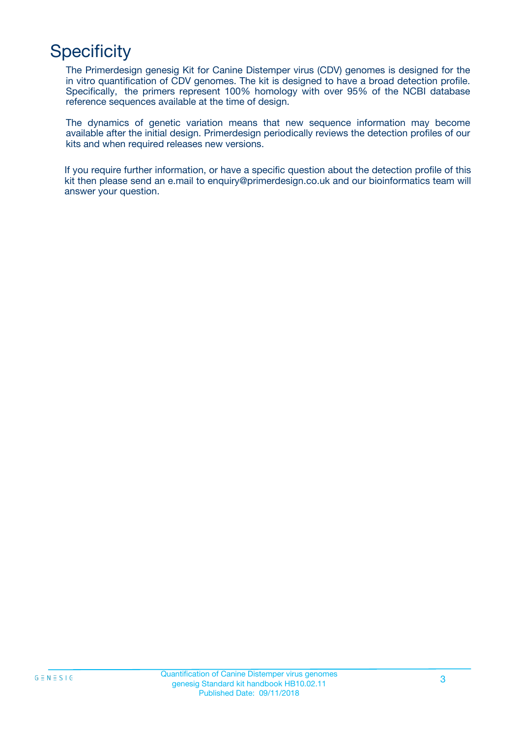# **Specificity**

The Primerdesign genesig Kit for Canine Distemper virus (CDV) genomes is designed for the in vitro quantification of CDV genomes. The kit is designed to have a broad detection profile. Specifically, the primers represent 100% homology with over 95% of the NCBI database reference sequences available at the time of design.

The dynamics of genetic variation means that new sequence information may become available after the initial design. Primerdesign periodically reviews the detection profiles of our kits and when required releases new versions.

If you require further information, or have a specific question about the detection profile of this kit then please send an e.mail to enquiry@primerdesign.co.uk and our bioinformatics team will answer your question.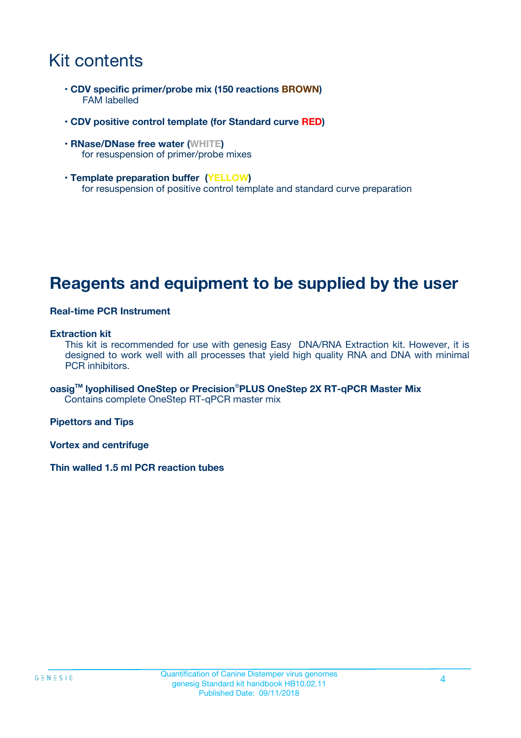# Kit contents

- **CDV specific primer/probe mix (150 reactions BROWN)** FAM labelled
- **CDV positive control template (for Standard curve RED)**
- **RNase/DNase free water (WHITE)** for resuspension of primer/probe mixes
- **Template preparation buffer (YELLOW)** for resuspension of positive control template and standard curve preparation

## **Reagents and equipment to be supplied by the user**

#### **Real-time PCR Instrument**

#### **Extraction kit**

This kit is recommended for use with genesig Easy DNA/RNA Extraction kit. However, it is designed to work well with all processes that yield high quality RNA and DNA with minimal PCR inhibitors.

**oasigTM lyophilised OneStep or Precision**®**PLUS OneStep 2X RT-qPCR Master Mix** Contains complete OneStep RT-qPCR master mix

**Pipettors and Tips**

**Vortex and centrifuge**

**Thin walled 1.5 ml PCR reaction tubes**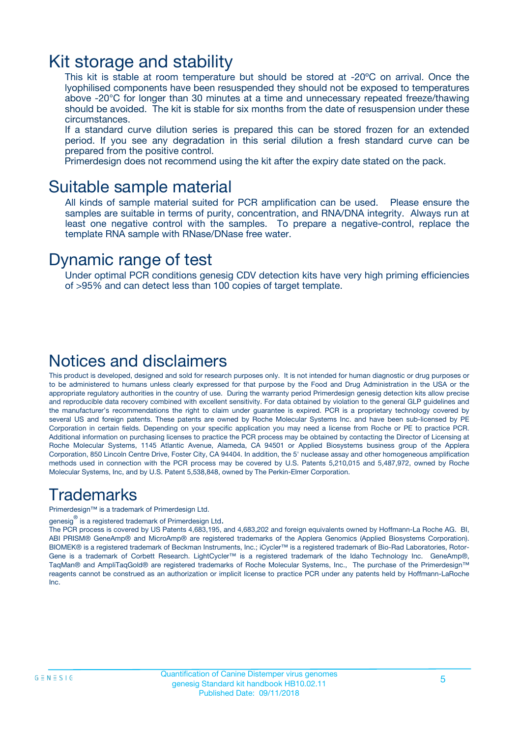### Kit storage and stability

This kit is stable at room temperature but should be stored at -20ºC on arrival. Once the lyophilised components have been resuspended they should not be exposed to temperatures above -20°C for longer than 30 minutes at a time and unnecessary repeated freeze/thawing should be avoided. The kit is stable for six months from the date of resuspension under these circumstances.

If a standard curve dilution series is prepared this can be stored frozen for an extended period. If you see any degradation in this serial dilution a fresh standard curve can be prepared from the positive control.

Primerdesign does not recommend using the kit after the expiry date stated on the pack.

### Suitable sample material

All kinds of sample material suited for PCR amplification can be used. Please ensure the samples are suitable in terms of purity, concentration, and RNA/DNA integrity. Always run at least one negative control with the samples. To prepare a negative-control, replace the template RNA sample with RNase/DNase free water.

### Dynamic range of test

Under optimal PCR conditions genesig CDV detection kits have very high priming efficiencies of >95% and can detect less than 100 copies of target template.

### Notices and disclaimers

This product is developed, designed and sold for research purposes only. It is not intended for human diagnostic or drug purposes or to be administered to humans unless clearly expressed for that purpose by the Food and Drug Administration in the USA or the appropriate regulatory authorities in the country of use. During the warranty period Primerdesign genesig detection kits allow precise and reproducible data recovery combined with excellent sensitivity. For data obtained by violation to the general GLP guidelines and the manufacturer's recommendations the right to claim under guarantee is expired. PCR is a proprietary technology covered by several US and foreign patents. These patents are owned by Roche Molecular Systems Inc. and have been sub-licensed by PE Corporation in certain fields. Depending on your specific application you may need a license from Roche or PE to practice PCR. Additional information on purchasing licenses to practice the PCR process may be obtained by contacting the Director of Licensing at Roche Molecular Systems, 1145 Atlantic Avenue, Alameda, CA 94501 or Applied Biosystems business group of the Applera Corporation, 850 Lincoln Centre Drive, Foster City, CA 94404. In addition, the 5' nuclease assay and other homogeneous amplification methods used in connection with the PCR process may be covered by U.S. Patents 5,210,015 and 5,487,972, owned by Roche Molecular Systems, Inc, and by U.S. Patent 5,538,848, owned by The Perkin-Elmer Corporation.

### Trademarks

Primerdesign™ is a trademark of Primerdesign Ltd.

genesig $^\circledR$  is a registered trademark of Primerdesign Ltd.

The PCR process is covered by US Patents 4,683,195, and 4,683,202 and foreign equivalents owned by Hoffmann-La Roche AG. BI, ABI PRISM® GeneAmp® and MicroAmp® are registered trademarks of the Applera Genomics (Applied Biosystems Corporation). BIOMEK® is a registered trademark of Beckman Instruments, Inc.; iCycler™ is a registered trademark of Bio-Rad Laboratories, Rotor-Gene is a trademark of Corbett Research. LightCycler™ is a registered trademark of the Idaho Technology Inc. GeneAmp®, TaqMan® and AmpliTaqGold® are registered trademarks of Roche Molecular Systems, Inc., The purchase of the Primerdesign™ reagents cannot be construed as an authorization or implicit license to practice PCR under any patents held by Hoffmann-LaRoche Inc.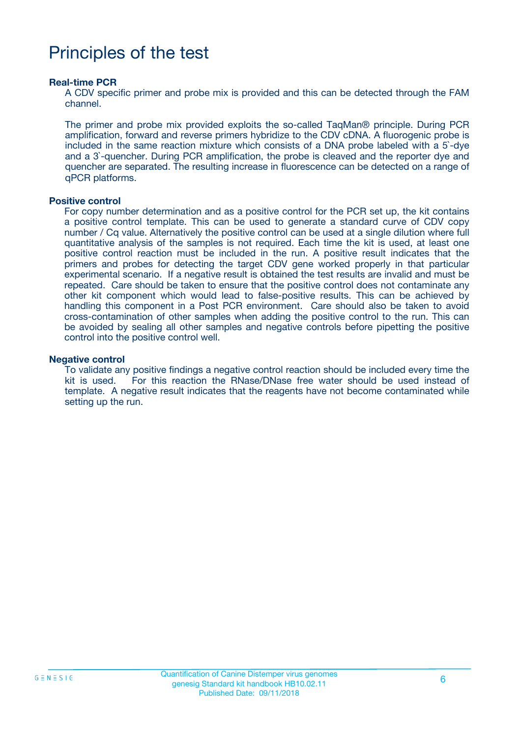# Principles of the test

#### **Real-time PCR**

A CDV specific primer and probe mix is provided and this can be detected through the FAM channel.

The primer and probe mix provided exploits the so-called TaqMan® principle. During PCR amplification, forward and reverse primers hybridize to the CDV cDNA. A fluorogenic probe is included in the same reaction mixture which consists of a DNA probe labeled with a 5`-dye and a 3`-quencher. During PCR amplification, the probe is cleaved and the reporter dye and quencher are separated. The resulting increase in fluorescence can be detected on a range of qPCR platforms.

#### **Positive control**

For copy number determination and as a positive control for the PCR set up, the kit contains a positive control template. This can be used to generate a standard curve of CDV copy number / Cq value. Alternatively the positive control can be used at a single dilution where full quantitative analysis of the samples is not required. Each time the kit is used, at least one positive control reaction must be included in the run. A positive result indicates that the primers and probes for detecting the target CDV gene worked properly in that particular experimental scenario. If a negative result is obtained the test results are invalid and must be repeated. Care should be taken to ensure that the positive control does not contaminate any other kit component which would lead to false-positive results. This can be achieved by handling this component in a Post PCR environment. Care should also be taken to avoid cross-contamination of other samples when adding the positive control to the run. This can be avoided by sealing all other samples and negative controls before pipetting the positive control into the positive control well.

#### **Negative control**

To validate any positive findings a negative control reaction should be included every time the kit is used. For this reaction the RNase/DNase free water should be used instead of template. A negative result indicates that the reagents have not become contaminated while setting up the run.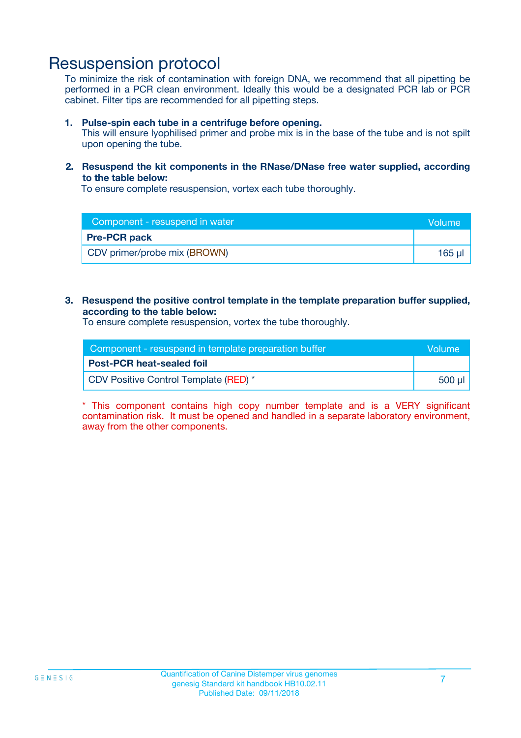### Resuspension protocol

To minimize the risk of contamination with foreign DNA, we recommend that all pipetting be performed in a PCR clean environment. Ideally this would be a designated PCR lab or PCR cabinet. Filter tips are recommended for all pipetting steps.

#### **1. Pulse-spin each tube in a centrifuge before opening.**

This will ensure lyophilised primer and probe mix is in the base of the tube and is not spilt upon opening the tube.

#### **2. Resuspend the kit components in the RNase/DNase free water supplied, according to the table below:**

To ensure complete resuspension, vortex each tube thoroughly.

| Component - resuspend in water | <b>Volume</b> |
|--------------------------------|---------------|
| <b>Pre-PCR pack</b>            |               |
| CDV primer/probe mix (BROWN)   | 165 µl        |

#### **3. Resuspend the positive control template in the template preparation buffer supplied, according to the table below:**

To ensure complete resuspension, vortex the tube thoroughly.

| Component - resuspend in template preparation buffer |          |  |
|------------------------------------------------------|----------|--|
| <b>Post-PCR heat-sealed foil</b>                     |          |  |
| CDV Positive Control Template (RED) *                | ่ 500 µl |  |

\* This component contains high copy number template and is a VERY significant contamination risk. It must be opened and handled in a separate laboratory environment, away from the other components.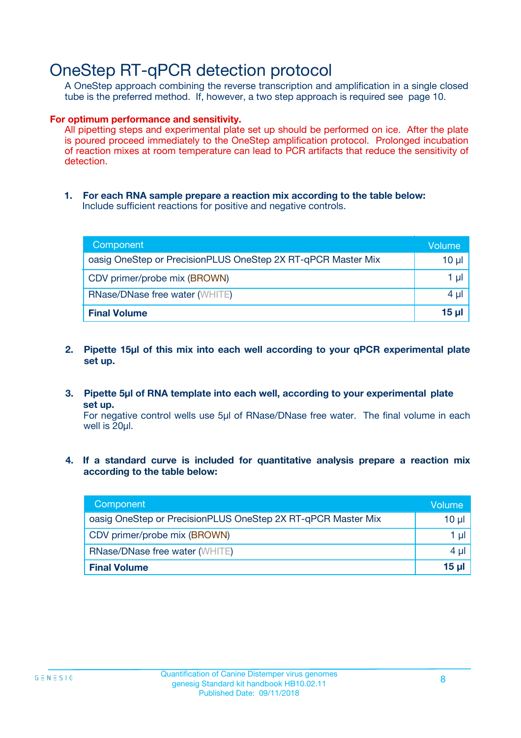## OneStep RT-qPCR detection protocol

A OneStep approach combining the reverse transcription and amplification in a single closed tube is the preferred method. If, however, a two step approach is required see page 10.

#### **For optimum performance and sensitivity.**

All pipetting steps and experimental plate set up should be performed on ice. After the plate is poured proceed immediately to the OneStep amplification protocol. Prolonged incubation of reaction mixes at room temperature can lead to PCR artifacts that reduce the sensitivity of detection.

**1. For each RNA sample prepare a reaction mix according to the table below:** Include sufficient reactions for positive and negative controls.

| Component                                                    | Volume     |
|--------------------------------------------------------------|------------|
| oasig OneStep or PrecisionPLUS OneStep 2X RT-qPCR Master Mix | $10 \mu$   |
| CDV primer/probe mix (BROWN)                                 | 1 µl       |
| <b>RNase/DNase free water (WHITE)</b>                        | 4 µl       |
| <b>Final Volume</b>                                          | $15$ $\mu$ |

- **2. Pipette 15µl of this mix into each well according to your qPCR experimental plate set up.**
- **3. Pipette 5µl of RNA template into each well, according to your experimental plate set up.**

For negative control wells use 5µl of RNase/DNase free water. The final volume in each well is 20ul.

**4. If a standard curve is included for quantitative analysis prepare a reaction mix according to the table below:**

| Component                                                    | Volume |
|--------------------------------------------------------------|--------|
| oasig OneStep or PrecisionPLUS OneStep 2X RT-qPCR Master Mix | 10 µl  |
| CDV primer/probe mix (BROWN)                                 | 1 µl   |
| <b>RNase/DNase free water (WHITE)</b>                        | 4 µl   |
| <b>Final Volume</b>                                          | 15 µl  |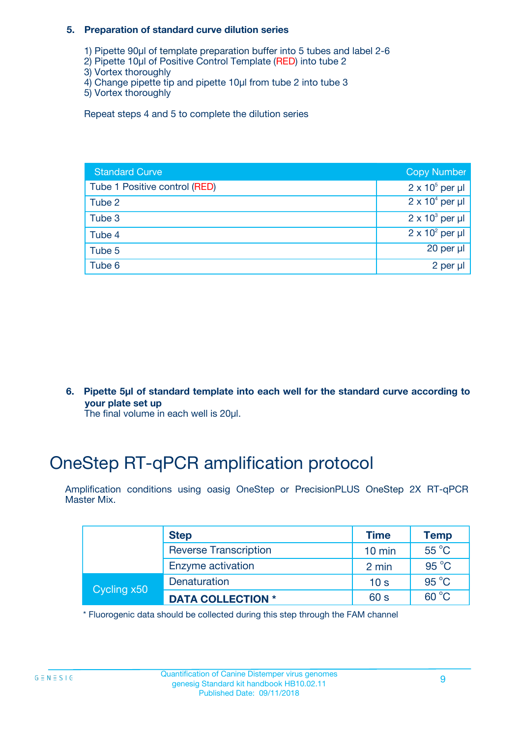#### **5. Preparation of standard curve dilution series**

- 1) Pipette 90µl of template preparation buffer into 5 tubes and label 2-6
- 2) Pipette 10µl of Positive Control Template (RED) into tube 2
- 3) Vortex thoroughly
- 4) Change pipette tip and pipette 10µl from tube 2 into tube 3
- 5) Vortex thoroughly

Repeat steps 4 and 5 to complete the dilution series

| <b>Standard Curve</b>         | <b>Copy Number</b>     |
|-------------------------------|------------------------|
| Tube 1 Positive control (RED) | $2 \times 10^5$ per µl |
| Tube 2                        | $2 \times 10^4$ per µl |
| Tube 3                        | $2 \times 10^3$ per µl |
| Tube 4                        | $2 \times 10^2$ per µl |
| Tube 5                        | 20 per $\mu$           |
| Tube 6                        | 2 per µl               |

**6. Pipette 5µl of standard template into each well for the standard curve according to your plate set up**

The final volume in each well is 20ul.

# OneStep RT-qPCR amplification protocol

Amplification conditions using oasig OneStep or PrecisionPLUS OneStep 2X RT-qPCR Master Mix.

|             | <b>Step</b>                  | <b>Time</b>      | <b>Temp</b>    |
|-------------|------------------------------|------------------|----------------|
|             | <b>Reverse Transcription</b> | $10 \text{ min}$ | $55^{\circ}$ C |
|             | Enzyme activation            | 2 min            | $95^{\circ}$ C |
| Cycling x50 | Denaturation                 | 10 <sub>s</sub>  | $95^{\circ}$ C |
|             | <b>DATA COLLECTION *</b>     | 60 s             | $60^{\circ}$ C |

\* Fluorogenic data should be collected during this step through the FAM channel